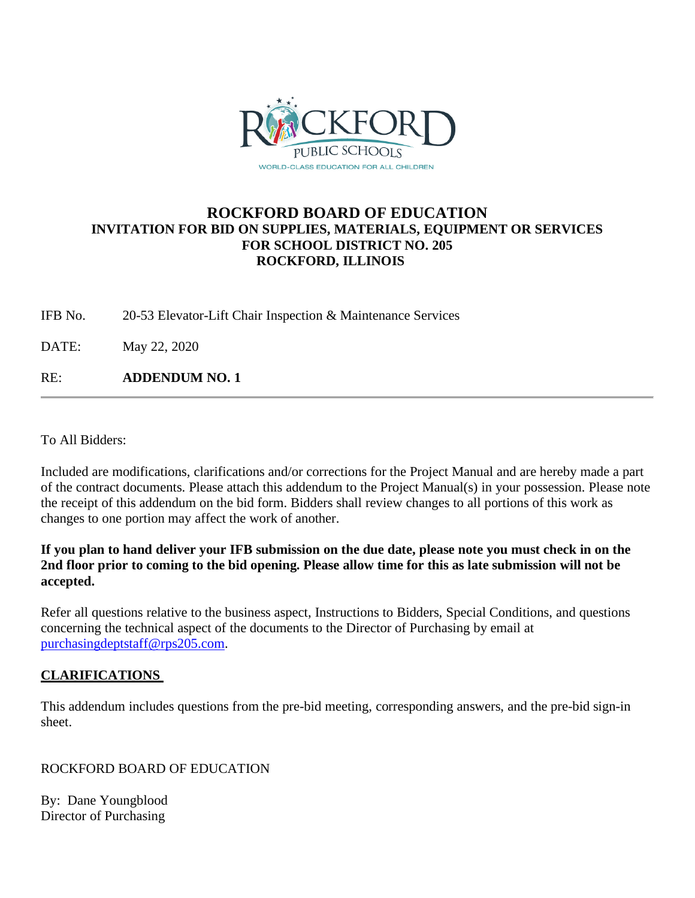

# **ROCKFORD BOARD OF EDUCATION INVITATION FOR BID ON SUPPLIES, MATERIALS, EQUIPMENT OR SERVICES FOR SCHOOL DISTRICT NO. 205 ROCKFORD, ILLINOIS**

IFB No. 20-53 Elevator-Lift Chair Inspection & Maintenance Services

DATE: May 22, 2020

RE: **ADDENDUM NO. 1**

To All Bidders:

Included are modifications, clarifications and/or corrections for the Project Manual and are hereby made a part of the contract documents. Please attach this addendum to the Project Manual(s) in your possession. Please note the receipt of this addendum on the bid form. Bidders shall review changes to all portions of this work as changes to one portion may affect the work of another.

**If you plan to hand deliver your IFB submission on the due date, please note you must check in on the 2nd floor prior to coming to the bid opening. Please allow time for this as late submission will not be accepted.**

Refer all questions relative to the business aspect, Instructions to Bidders, Special Conditions, and questions concerning the technical aspect of the documents to the Director of Purchasing by email at [purchasingdeptstaff@rps205.com.](mailto:purchasingdeptstaff@rps205.com)

#### **CLARIFICATIONS**

This addendum includes questions from the pre-bid meeting, corresponding answers, and the pre-bid sign-in sheet.

ROCKFORD BOARD OF EDUCATION

By: Dane Youngblood Director of Purchasing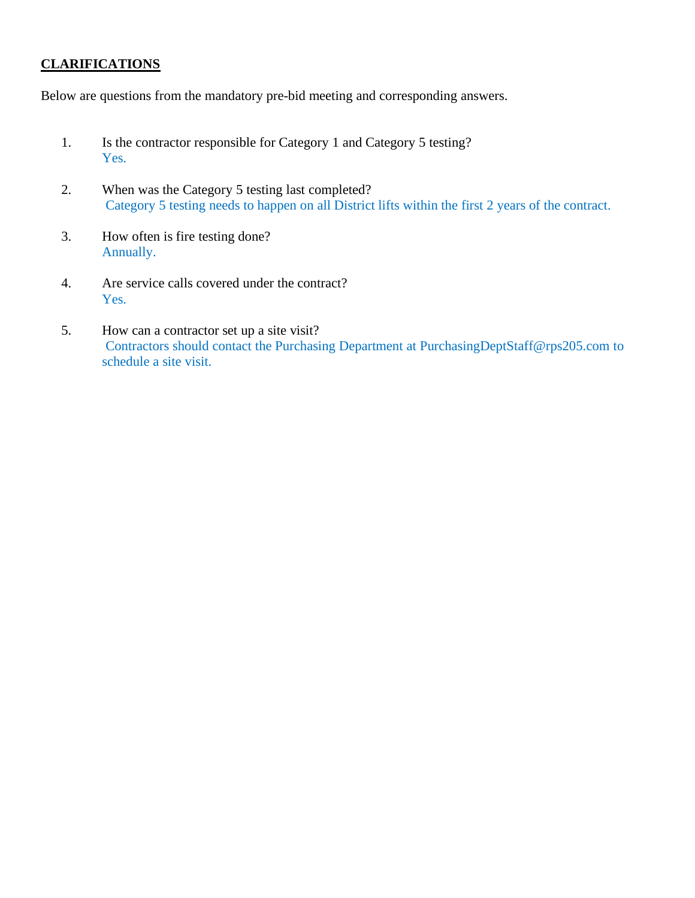### **CLARIFICATIONS**

Below are questions from the mandatory pre-bid meeting and corresponding answers.

- 1. Is the contractor responsible for Category 1 and Category 5 testing? Yes.
- 2. When was the Category 5 testing last completed? Category 5 testing needs to happen on all District lifts within the first 2 years of the contract.
- 3. How often is fire testing done? Annually.
- 4. Are service calls covered under the contract? Yes.
- 5. How can a contractor set up a site visit? Contractors should contact the Purchasing Department at PurchasingDeptStaff@rps205.com to schedule a site visit.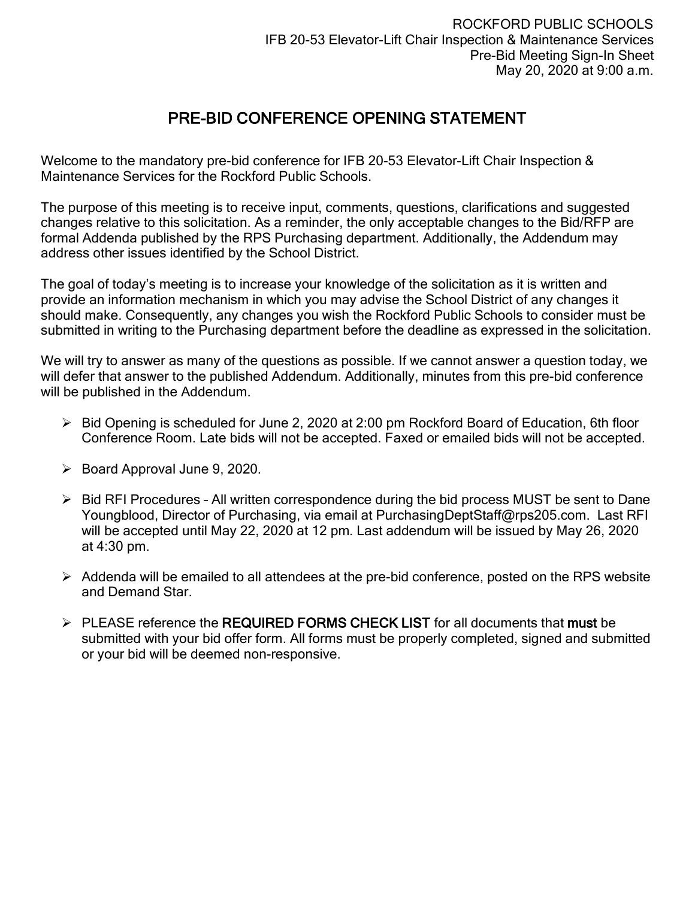# PRE-BID CONFERENCE OPENING STATEMENT

Welcome to the mandatory pre-bid conference for IFB 20-53 Elevator-Lift Chair Inspection & Maintenance Services for the Rockford Public Schools.

The purpose of this meeting is to receive input, comments, questions, clarifications and suggested changes relative to this solicitation. As a reminder, the only acceptable changes to the Bid/RFP are formal Addenda published by the RPS Purchasing department. Additionally, the Addendum may address other issues identified by the School District.

The goal of today's meeting is to increase your knowledge of the solicitation as it is written and provide an information mechanism in which you may advise the School District of any changes it should make. Consequently, any changes you wish the Rockford Public Schools to consider must be submitted in writing to the Purchasing department before the deadline as expressed in the solicitation.

We will try to answer as many of the questions as possible. If we cannot answer a question today, we will defer that answer to the published Addendum. Additionally, minutes from this pre-bid conference will be published in the Addendum.

- $\triangleright$  Bid Opening is scheduled for June 2, 2020 at 2:00 pm Rockford Board of Education, 6th floor Conference Room. Late bids will not be accepted. Faxed or emailed bids will not be accepted.
- $\triangleright$  Board Approval June 9, 2020.
- $\triangleright$  Bid RFI Procedures All written correspondence during the bid process MUST be sent to Dane Youngblood, Director of Purchasing, via email at PurchasingDeptStaff@rps205.com. Last RFI will be accepted until May 22, 2020 at 12 pm. Last addendum will be issued by May 26, 2020 at 4:30 pm.
- $\triangleright$  Addenda will be emailed to all attendees at the pre-bid conference, posted on the RPS website and Demand Star.
- $\triangleright$  PLEASE reference the REQUIRED FORMS CHECK LIST for all documents that must be submitted with your bid offer form. All forms must be properly completed, signed and submitted or your bid will be deemed non-responsive.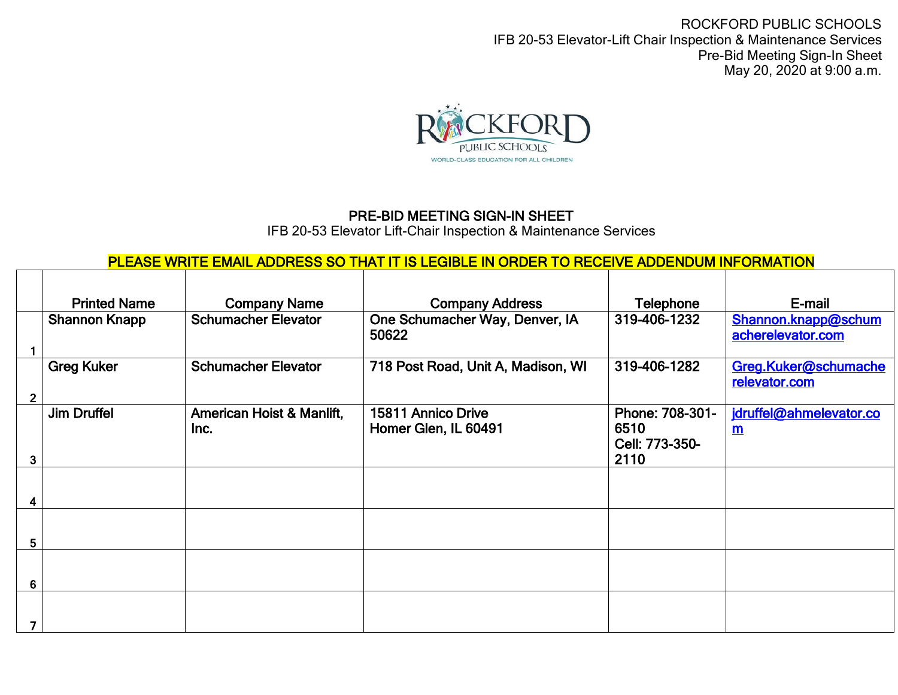ROCKFORD PUBLIC SCHOOLS IFB 20-53 Elevator-Lift Chair Inspection & Maintenance Services Pre-Bid Meeting Sign-In Sheet May 20, 2020 at 9:00 a.m.



# PRE-BID MEETING SIGN-IN SHEET

IFB 20-53 Elevator Lift-Chair Inspection & Maintenance Services

PLEASE WRITE EMAIL ADDRESS SO THAT IT IS LEGIBLE IN ORDER TO RECEIVE ADDENDUM INFORMATION

|                | <b>Printed Name</b>  | <b>Company Name</b>               | <b>Company Address</b>                     | Telephone                                         | E-mail                                   |
|----------------|----------------------|-----------------------------------|--------------------------------------------|---------------------------------------------------|------------------------------------------|
|                | <b>Shannon Knapp</b> | <b>Schumacher Elevator</b>        | One Schumacher Way, Denver, IA<br>50622    | 319-406-1232                                      | Shannon.knapp@schum<br>acherelevator.com |
| $\overline{2}$ | <b>Greg Kuker</b>    | <b>Schumacher Elevator</b>        | 718 Post Road, Unit A, Madison, WI         | 319-406-1282                                      | Greg.Kuker@schumache<br>relevator.com    |
| 3              | <b>Jim Druffel</b>   | American Hoist & Manlift,<br>Inc. | 15811 Annico Drive<br>Homer Glen, IL 60491 | Phone: 708-301-<br>6510<br>Cell: 773-350-<br>2110 | jdruffel@ahmelevator.co<br>$\mathbf{m}$  |
|                |                      |                                   |                                            |                                                   |                                          |
|                |                      |                                   |                                            |                                                   |                                          |
| 5              |                      |                                   |                                            |                                                   |                                          |
| 6              |                      |                                   |                                            |                                                   |                                          |
|                |                      |                                   |                                            |                                                   |                                          |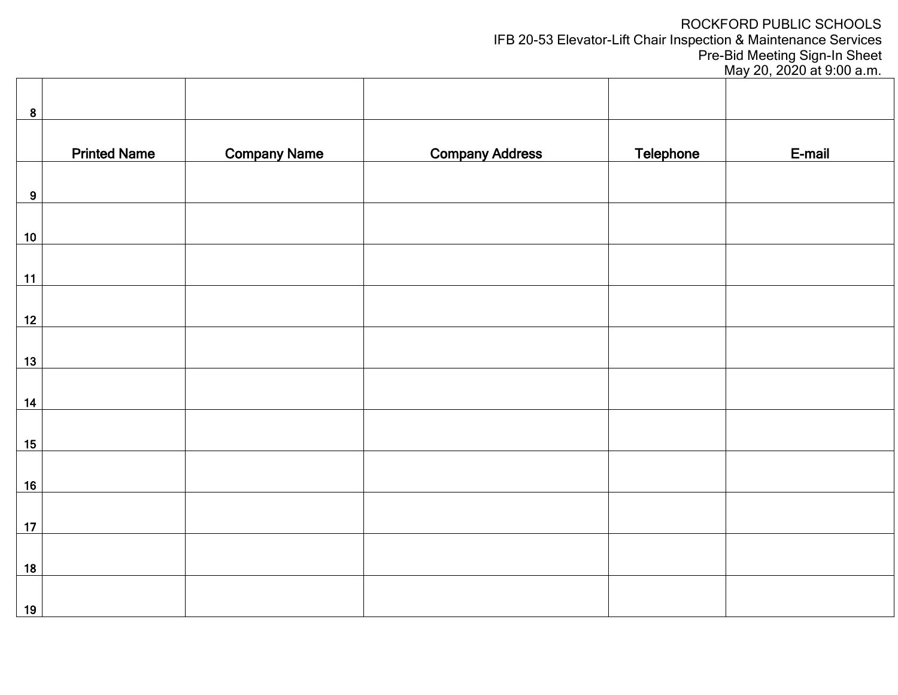# ROCKFORD PUBLIC SCHOOLS

IFB 20-53 Elevator-Lift Chair Inspection & Maintenance Services

Pre-Bid Meeting Sign-In Sheet

May 20, 2020 at 9:00 a.m.

| 8                |                     |                     |                        |                  |        |
|------------------|---------------------|---------------------|------------------------|------------------|--------|
|                  |                     |                     |                        |                  |        |
|                  | <b>Printed Name</b> | <b>Company Name</b> | <b>Company Address</b> | <b>Telephone</b> | E-mail |
|                  |                     |                     |                        |                  |        |
| $\boldsymbol{9}$ |                     |                     |                        |                  |        |
|                  |                     |                     |                        |                  |        |
| $10$             |                     |                     |                        |                  |        |
|                  |                     |                     |                        |                  |        |
|                  |                     |                     |                        |                  |        |
| 11               |                     |                     |                        |                  |        |
|                  |                     |                     |                        |                  |        |
| 12               |                     |                     |                        |                  |        |
|                  |                     |                     |                        |                  |        |
| 13               |                     |                     |                        |                  |        |
|                  |                     |                     |                        |                  |        |
|                  |                     |                     |                        |                  |        |
| $14$             |                     |                     |                        |                  |        |
|                  |                     |                     |                        |                  |        |
| 15               |                     |                     |                        |                  |        |
|                  |                     |                     |                        |                  |        |
| 16               |                     |                     |                        |                  |        |
|                  |                     |                     |                        |                  |        |
| 17               |                     |                     |                        |                  |        |
|                  |                     |                     |                        |                  |        |
|                  |                     |                     |                        |                  |        |
| 18               |                     |                     |                        |                  |        |
|                  |                     |                     |                        |                  |        |
| 19               |                     |                     |                        |                  |        |

 $\overline{\phantom{a}}$